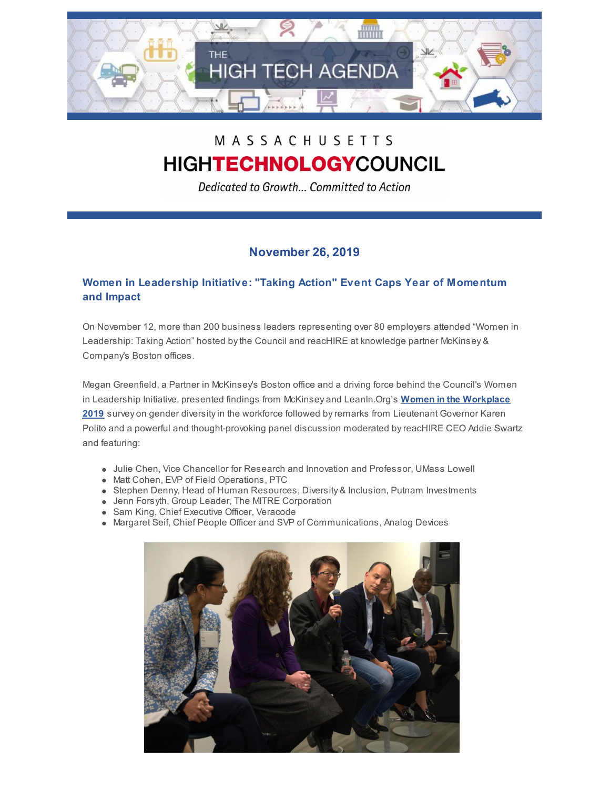

# MASSACHUSETTS HIGHTECHNOLOGYCOUNCIL

Dedicated to Growth... Committed to Action

## **November 26, 2019**

### **Women in Leadership Initiative: "Taking Action" Event Caps Year of Momentum and Impact**

On November 12, more than 200 business leaders representing over 80 employers attended "Women in Leadership: Taking Action" hosted by the Council and reacHIRE at knowledge partner McKinsey & Company's Boston offices.

Megan Greenfield, a Partner in McKinsey's Boston office and a driving force behind the Council's Women in Leadership Initiative, presented findings from McKinsey and LeanIn.Org's **Women in the Workplace 2019** survey on gender diversity in the workforce followed by remarks from Lieutenant Governor Karen Polito and a powerful and thought-provoking panel discussion moderated by reacHIRE CEO Addie Swartz and featuring:

- Julie Chen, Vice Chancellor for Research and Innovation and Professor, UMass Lowell
- Matt Cohen, EVP of Field Operations, PTC
- Stephen Denny, Head of Human Resources, Diversity & Inclusion, Putnam Investments
- Jenn Forsyth, Group Leader, The MITRE Corporation
- **Sam King, Chief Executive Officer, Veracode**
- Margaret Seif, Chief People Officer and SVP of Communications, Analog Devices

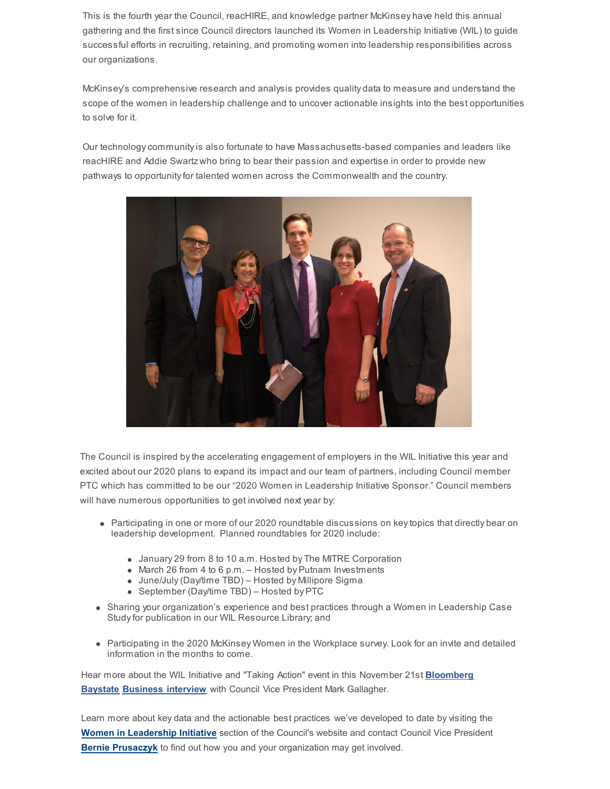This is the fourth year the Council, reacHIRE, and knowledge partner McKinsey have held this annual gathering and the first since Council directors launched its Women in Leadership Initiative (WIL) to guide successful efforts in recruiting, retaining, and promoting women into leadership responsibilities across our organizations.

McKinsey's comprehensive research and analysis provides quality data to measure and understand the scope of the women in leadership challenge and to uncover actionable insights into the best opportunities to solve for it.

Our technology community is also fortunate to have Massachusetts-based companies and leaders like reacHIRE and Addie Swartz who bring to bear their passion and expertise in order to provide new pathways to opportunity for talented women across the Commonwealth and the country.



The Council is inspired by the accelerating engagement of employers in the WIL Initiative this year and excited about our 2020 plans to expand its impact and our team of partners, including Council member PTC which has committed to be our "2020 Women in Leadership Initiative Sponsor." Council members will have numerous opportunities to get involved next year by:

- Participating in one or more of our 2020 roundtable discussions on key topics that directly bear on leadership development. Planned roundtables for 2020 include:
	- January 29 from 8 to 10 a.m. Hosted by The MITRE Corporation
	- March 26 from 4 to 6 p.m. Hosted by Putnam Investments
	- June/July (Day/time TBD) Hosted by Millipore Sigma
	- September (Day/time TBD) Hosted by PTC
- Sharing your organization's experience and best practices through a Women in Leadership Case Study for publication in our WIL Resource Library; and
- Participating in the 2020 McKinsey Women in the Workplace survey. Look for an invite and detailed information in the months to come.

Hear more about the WIL Initiative and "Taking Action" event in this November 21st **Bloomberg Baystate Business interview** with Council Vice President Mark Gallagher.

Learn more about key data and the actionable best practices we've developed to date by visiting the **Women in Leadership Initiative** section of the Council's website and contact Council Vice President **Bernie Prusaczyk** to find out how you and your organization may get involved.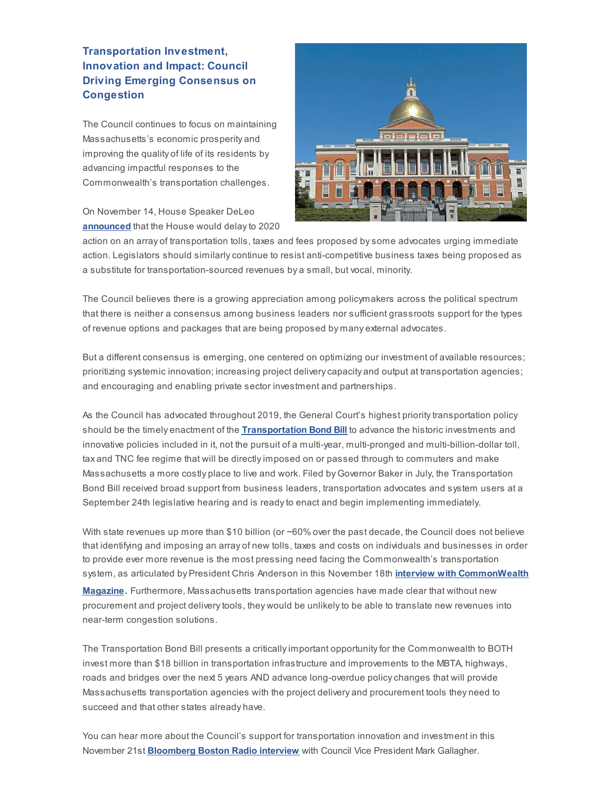#### **Transportation Investment, Innovation and Impact: Council Driving Emerging Consensus on Congestion**

The Council continues to focus on maintaining Massachusetts's economic prosperity and improving the quality of life of its residents by advancing impactful responses to the Commonwealth's transportation challenges.

On November 14, House Speaker DeLeo **announced** that the House would delay to 2020



action on an array of transportation tolls, taxes and fees proposed by some advocates urging immediate action. Legislators should similarly continue to resist anti-competitive business taxes being proposed as a substitute for transportation-sourced revenues by a small, but vocal, minority.

The Council believes there is a growing appreciation among policymakers across the political spectrum that there is neither a consensus among business leaders nor sufficient grassroots support for the types of revenue options and packages that are being proposed by many external advocates.

But a different consensus is emerging, one centered on optimizing our investment of available resources; prioritizing systemic innovation; increasing project delivery capacity and output at transportation agencies; and encouraging and enabling private sector investment and partnerships.

As the Council has advocated throughout 2019, the General Court's highest priority transportation policy should be the timely enactment of the **Transportation Bond Bill** to advance the historic investments and innovative policies included in it, not the pursuit of a multi-year, multi-pronged and multi-billion-dollar toll, tax and TNC fee regime that will be directly imposed on or passed through to commuters and make Massachusetts a more costly place to live and work. Filed by Governor Baker in July, the Transportation Bond Bill received broad support from business leaders, transportation advocates and system users at a September 24th legislative hearing and is ready to enact and begin implementing immediately.

With state revenues up more than \$10 billion (or ~60% over the past decade, the Council does not believe that identifying and imposing an array of new tolls, taxes and costs on individuals and businesses in order to provide ever more revenue is the most pressing need facing the Commonwealth's transportation system, as articulated by President Chris Anderson in this November 18th **interview with CommonWealth**

**Magazine**. Furthermore, Massachusetts transportation agencies have made clear that without new procurement and project delivery tools, they would be unlikely to be able to translate new revenues into near-term congestion solutions.

The Transportation Bond Bill presents a critically important opportunity for the Commonwealth to BOTH invest more than \$18 billion in transportation infrastructure and improvements to the MBTA, highways, roads and bridges over the next 5 years AND advance long-overdue policy changes that will provide Massachusetts transportation agencies with the project delivery and procurement tools they need to succeed and that other states already have.

You can hear more about the Council's support for transportation innovation and investment in this November 21st **Bloomberg Boston Radio interview** with Council Vice President Mark Gallagher.